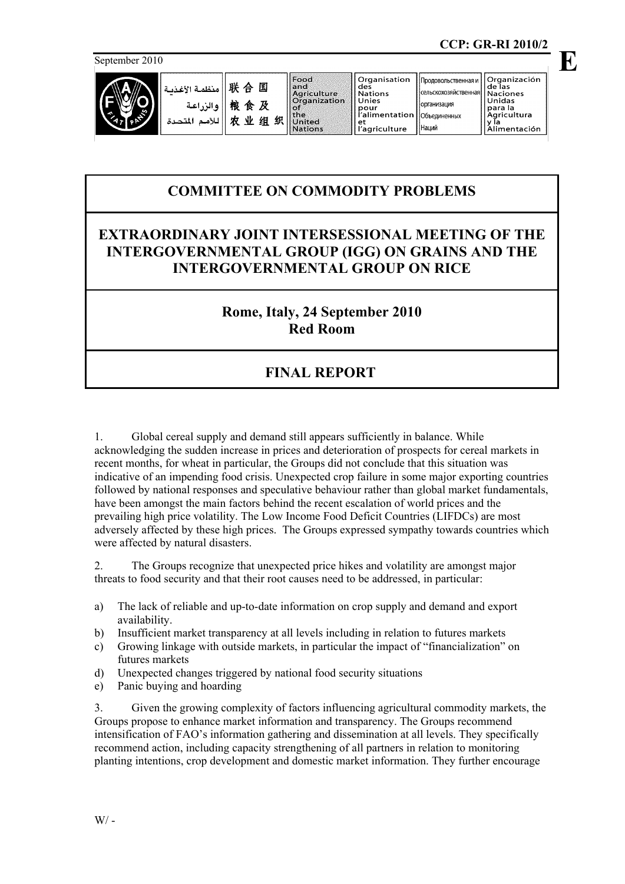September 2010



| 联 合 国    منظمة الأغذنـة |                                                       | $\vert$ Food<br>land<br>Agricultur |
|-------------------------|-------------------------------------------------------|------------------------------------|
|                         |                                                       | Organizat                          |
|                         | والزراعة  <br>   الأمم المتحدة   <br>   للأمم المتحدة | United<br><b>Nations</b>           |

| nd                               | des              |
|----------------------------------|------------------|
| griculture                       | <b>Nations</b>   |
| <i><b><u>rganization</u></b></i> | Unies            |
|                                  | pour             |
| ñе                               | l l'alimentatior |
| Inited                           | et               |
| lations                          | l'agriculture    |
|                                  |                  |

Organisation

организация

Наний

**E**

## **COMMITTEE ON COMMODITY PROBLEMS**

## **EXTRAORDINARY JOINT INTERSESSIONAL MEETING OF THE INTERGOVERNMENTAL GROUP (IGG) ON GRAINS AND THE INTERGOVERNMENTAL GROUP ON RICE**

## **Rome, Italy, 24 September 2010 Red Room**

## **FINAL REPORT**

1. Global cereal supply and demand still appears sufficiently in balance. While acknowledging the sudden increase in prices and deterioration of prospects for cereal markets in recent months, for wheat in particular, the Groups did not conclude that this situation was indicative of an impending food crisis. Unexpected crop failure in some major exporting countries followed by national responses and speculative behaviour rather than global market fundamentals, have been amongst the main factors behind the recent escalation of world prices and the prevailing high price volatility. The Low Income Food Deficit Countries (LIFDCs) are most adversely affected by these high prices. The Groups expressed sympathy towards countries which were affected by natural disasters.

2. The Groups recognize that unexpected price hikes and volatility are amongst major threats to food security and that their root causes need to be addressed, in particular:

- a) The lack of reliable and up-to-date information on crop supply and demand and export availability.
- b) Insufficient market transparency at all levels including in relation to futures markets
- c) Growing linkage with outside markets, in particular the impact of "financialization" on futures markets
- d) Unexpected changes triggered by national food security situations
- e) Panic buying and hoarding

3. Given the growing complexity of factors influencing agricultural commodity markets, the Groups propose to enhance market information and transparency. The Groups recommend intensification of FAO's information gathering and dissemination at all levels. They specifically recommend action, including capacity strengthening of all partners in relation to monitoring planting intentions, crop development and domestic market information. They further encourage